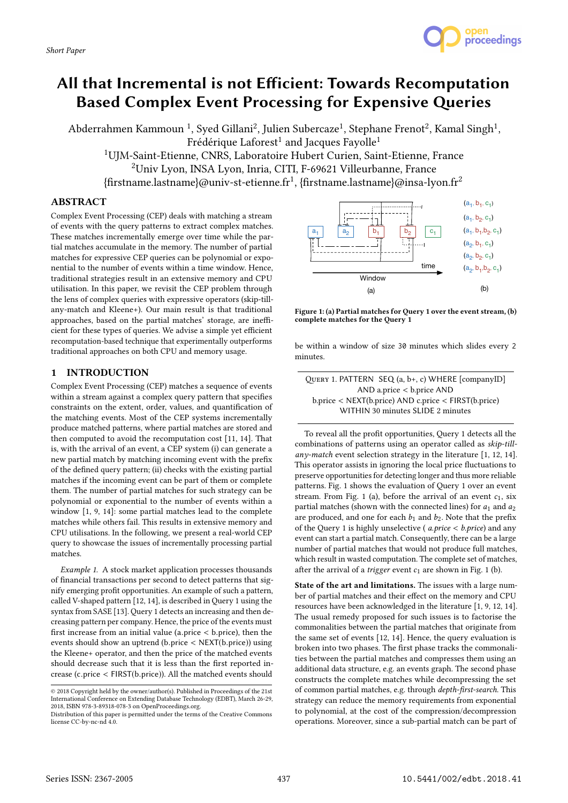

Abderrahmen Kammoun <sup>1</sup>, Sved Gillani<sup>2</sup>, Julien Subercaze<sup>1</sup>, Stephane Frenot<sup>2</sup>, Kamal Singh<sup>1</sup>,  $Fr$ édérique Laforest<sup>1</sup> and Jacques Favolle<sup>1</sup>

<sup>1</sup>UJM-Saint-Etienne, CNRS, Laboratoire Hubert Curien, Saint-Etienne, France <sup>2</sup>Univ Lyon, INSA Lyon, Inria, CITI, F-69621 Villeurbanne, France  $\{\text{first name}.\text{lastname} \}$ @univ-st-etienne.fr<sup>1</sup>,  $\{\text{first name}.\text{lastname} \}$ @insa-lyon.fr<sup>2</sup>

## ABSTRACT

Complex Event Processing (CEP) deals with matching a stream of events with the query patterns to extract complex matches. These matches incrementally emerge over time while the partial matches accumulate in the memory. The number of partial matches for expressive CEP queries can be polynomial or exponential to the number of events within a time window. Hence, traditional strategies result in an extensive memory and CPU utilisation. In this paper, we revisit the CEP problem through the lens of complex queries with expressive operators (skip-tillany-match and Kleene+). Our main result is that traditional approaches, based on the partial matches' storage, are inefficient for these types of queries. We advise a simple yet efficient recomputation-based technique that experimentally outperforms traditional approaches on both CPU and memory usage.

# 1 INTRODUCTION

Complex Event Processing (CEP) matches a sequence of events within a stream against a complex query pattern that specifies constraints on the extent, order, values, and quantification of the matching events. Most of the CEP systems incrementally produce matched patterns, where partial matches are stored and then computed to avoid the recomputation cost [11, 14]. That is, with the arrival of an event, a CEP system (i) can generate a new partial match by matching incoming event with the prefix of the defined query pattern; (ii) checks with the existing partial matches if the incoming event can be part of them or complete them. The number of partial matches for such strategy can be polynomial or exponential to the number of events within a window [1, 9, 14]: some partial matches lead to the complete matches while others fail. This results in extensive memory and CPU utilisations. In the following, we present a real-world CEP query to showcase the issues of incrementally processing partial matches.

Example 1. A stock market application processes thousands of financial transactions per second to detect patterns that signify emerging profit opportunities. An example of such a pattern, called V-shaped pattern [12, 14], is described in Query 1 using the syntax from SASE [13]. Query 1 detects an increasing and then decreasing pattern per company. Hence, the price of the events must first increase from an initial value (a.price < <sup>b</sup>.price), then the events should show an uptrend (b.price < NEXT(b.price)) using the Kleene+ operator, and then the price of the matched events should decrease such that it is less than the first reported increase (c.price < FIRST(b.price)). All the matched events should



proceedings

Figure 1: (a) Partial matches for Query 1 over the event stream, (b) complete matches for the Query 1

be within a window of size 30 minutes which slides every 2 minutes.

To reveal all the profit opportunities, Query 1 detects all the combinations of patterns using an operator called as skip-tillany-match event selection strategy in the literature  $[1, 12, 14]$ . This operator assists in ignoring the local price fluctuations to preserve opportunities for detecting longer and thus more reliable patterns. Fig. 1 shows the evaluation of Query 1 over an event stream. From Fig. 1 (a), before the arrival of an event  $c_1$ , six partial matches (shown with the connected lines) for  $a_1$  and  $a_2$ are produced, and one for each  $b_1$  and  $b_2$ . Note that the prefix of the Query 1 is highly unselective ( $a.\text{price} < b.\text{price}$ ) and any event can start a partial match. Consequently, there can be a large number of partial matches that would not produce full matches, which result in wasted computation. The complete set of matches, after the arrival of a *trigger* event  $c_1$  are shown in Fig. 1 (b).

State of the art and limitations. The issues with a large number of partial matches and their effect on the memory and CPU resources have been acknowledged in the literature [1, 9, 12, 14]. The usual remedy proposed for such issues is to factorise the commonalities between the partial matches that originate from the same set of events [12, 14]. Hence, the query evaluation is broken into two phases. The first phase tracks the commonalities between the partial matches and compresses them using an additional data structure, e.g. an events graph. The second phase constructs the complete matches while decompressing the set of common partial matches, e.g. through depth-first-search. This strategy can reduce the memory requirements from exponential to polynomial, at the cost of the compression/decompression operations. Moreover, since a sub-partial match can be part of

<sup>©</sup> 2018 Copyright held by the owner/author(s). Published in Proceedings of the 21st International Conference on Extending Database Technology (EDBT), March 26-29, 2018, ISBN 978-3-89318-078-3 on OpenProceedings.org.

Distribution of this paper is permitted under the terms of the Creative Commons license CC-by-nc-nd 4.0.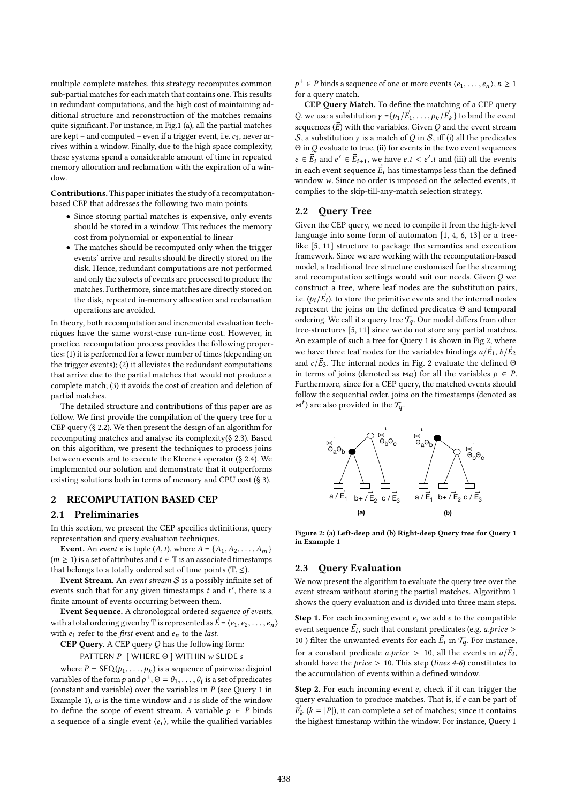multiple complete matches, this strategy recomputes common sub-partial matches for each match that contains one. This results in redundant computations, and the high cost of maintaining additional structure and reconstruction of the matches remains quite significant. For instance, in Fig.1 (a), all the partial matches are kept – and computed – even if a trigger event, i.e.  $c_1$ , never arrives within a window. Finally, due to the high space complexity, these systems spend a considerable amount of time in repeated memory allocation and reclamation with the expiration of a window.

Contributions. This paper initiates the study of a recomputationbased CEP that addresses the following two main points.

- Since storing partial matches is expensive, only events should be stored in a window. This reduces the memory cost from polynomial or exponential to linear
- The matches should be recomputed only when the trigger events' arrive and results should be directly stored on the disk. Hence, redundant computations are not performed and only the subsets of events are processed to produce the matches. Furthermore, since matches are directly stored on the disk, repeated in-memory allocation and reclamation operations are avoided.

In theory, both recomputation and incremental evaluation techniques have the same worst-case run-time cost. However, in practice, recomputation process provides the following properties: (1) it is performed for a fewer number of times (depending on the trigger events); (2) it alleviates the redundant computations that arrive due to the partial matches that would not produce a complete match; (3) it avoids the cost of creation and deletion of partial matches.

The detailed structure and contributions of this paper are as follow. We first provide the compilation of the query tree for a CEP query (§ 2.2). We then present the design of an algorithm for recomputing matches and analyse its complexity(§ 2.3). Based on this algorithm, we present the techniques to process joins between events and to execute the Kleene+ operator (§ 2.4). We implemented our solution and demonstrate that it outperforms existing solutions both in terms of memory and CPU cost (§ 3).

# 2 RECOMPUTATION BASED CEP

#### 2.1 Preliminaries

In this section, we present the CEP specifics definitions, query representation and query evaluation techniques.

**Event.** An *event e* is tuple  $(A, t)$ , where  $A = \{A_1, A_2, \ldots, A_m\}$  $(m \geq 1)$  is a set of attributes and  $t \in \mathbb{T}$  is an associated timestamps that belongs to a totally ordered set of time points  $(\mathbb{T}, \leq)$ .

Event Stream. An event stream  $S$  is a possibly infinite set of events such that for any given timestamps  $t$  and  $t'$ , there is a finite amount of events occurring between them finite amount of events occurring between them.

Event Sequence. A chronological ordered sequence of events, with a total ordering given by  $\mathbb T$  is represented as  $\vec{E} = \langle e_1, e_2, \ldots, e_n \rangle$ with  $e_1$  refer to the *first* event and  $e_n$  to the *last*.

CEP Query. A CEP query Q has the following form:

PATTERN P [ WHERE Θ ] WITHIN w SLIDE s

where  $P = \text{SEQ}(p_1, \ldots, p_k)$  is a sequence of pairwise disjoint<br>riables of the form n and  $p^+ \Theta = \theta$ .  $\theta$ , is a set of predicates variables of the form  $p$  and  $p^+$ ,  $\Theta = \theta_1, \ldots, \theta_l$  is a set of predicates (constant and variable) over the variables in  $P$  (see Query 1 in (constant and variable) over the variables in  $P$  (see Query 1 in Example 1),  $\omega$  is the time window and s is slide of the window to define the scope of event stream. A variable  $p \in P$  binds a sequence of a single event  $\langle e_i \rangle$ , while the qualified variables

r<br>for a query match.  $p^+ \in P$  binds a sequence of one or more events  $\langle e_1, \ldots, e_n \rangle, n \ge 1$ 

CEP Query Match. To define the matching of a CEP query Q, we use a substitution  $\gamma = \{p_1/\vec{E}_1, \ldots, p_k/\vec{E}_k\}$  to bind the event<br>convenient the veriables Given Q and the event stream sequences  $(\vec{E})$  with the variables. Given Q and the event stream<br>S, a substitution v is a match of Q in S, iff (i) all the predicates S, a substitution  $\gamma$  is a match of Q in S, iff (i) all the predicates  $\Theta$  in  $Q$  evaluate to true, (ii) for events in the two event sequences  $e \in \vec{E}_i$  and  $e' \in \vec{E}_{i+1}$ , we have  $e.t < e'.t$  and (iii) all the events<br>in each event sequence  $\vec{E}$ , has timestages than the defined in each event sequence  $\vec{E}_i$  has timestamps less than the defined<br>window  $w$ . Since no order is imposed on the selected events, if window w. Since no order is imposed on the selected events, it complies to the skip-till-any-match selection strategy.

#### 2.2 Query Tree

Given the CEP query, we need to compile it from the high-level language into some form of automaton [1, 4, 6, 13] or a treelike [5, 11] structure to package the semantics and execution framework. Since we are working with the recomputation-based model, a traditional tree structure customised for the streaming and recomputation settings would suit our needs. Given Q we construct a tree, where leaf nodes are the substitution pairs, i.e.  $(p_i/\vec{E_i})$ , to store the primitive events and the internal nodes<br>represent the ioins on the defined predicates  $\Theta$  and temporal represent the joins on the defined predicates Θ and temporal ordering We call it a query tree  $\mathcal{T}$ . Our model differs from other ordering. We call it a query tree  $\mathcal{T}_q$ . Our model differs from other tree-structures [5, 11] since we do not store any partial matches. An example of such a tree for Query 1 is shown in Fig 2, where we have three leaf nodes for the variables bindings  $a/\vec{E}_1$ ,  $b/\vec{E}_2$ <br>and  $a/\vec{E}_2$ . The internal nodes in Fig. 2 evoluate the defined  $\vec{E}_2$ and  $c/\vec{E}_3$ . The internal nodes in Fig. 2 evaluate the defined  $\Theta$  in terms of joins (denoted as  $\Theta$ ) for all the variables  $\Delta \in \mathbb{R}$ in terms of joins (denoted as  $\infty_{\Theta}$ ) for all the variables  $p \in P$ .<br>Furthermore since for a CEP query the matched events should Furthermore, since for a CEP query, the matched events should follow the sequential order, joins on the timestamps (denoted as  $\bowtie^t$  ) are also provided in the  $\mathcal{T}_q$ .



Figure 2: (a) Left-deep and (b) Right-deep Query tree for Query 1 in Example 1

## 2.3 Query Evaluation

We now present the algorithm to evaluate the query tree over the event stream without storing the partial matches. Algorithm 1 shows the query evaluation and is divided into three main steps.

**Step 1.** For each incoming event  $e$ , we add  $e$  to the compatible event sequence  $\vec{E}_i$ , such that constant predicates (e.g. *a.price* >  $\frac{10}{2}$ ). Site in summated quanta for each  $\vec{E}$  in  $\mathcal{T}$ . For instance 10) filter the unwanted events for each  $\vec{E}_i$  in  $\mathcal{T}_q$ . For instance, for a constant predicate *a.price*  $> 10$ , all the events in  $a/\vec{E}_i$ ,<br>should have the *price*  $> 10$ . This step *(lines 4-6)* constitutes to should have the *price*  $> 10$ . This step (*lines 4-6*) constitutes to the accumulation of events within a defined window. the accumulation of events within a defined window.

Step 2. For each incoming event e, check if it can trigger the query evaluation to produce matches. That is, if e can be part of  $\vec{E_k}$   $(k = |P|)$ , it can complete a set of matches; since it contains<br>the bighest timestamp within the window For instance Overy 1 the highest timestamp within the window. For instance, Query 1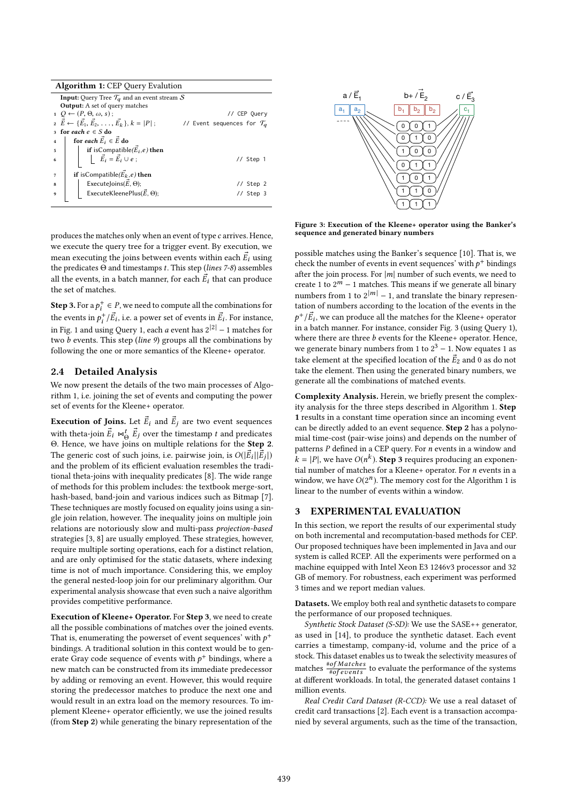| Algorithm 1: CEP Query Evalution |  |  |  |  |  |
|----------------------------------|--|--|--|--|--|
|----------------------------------|--|--|--|--|--|

|                                       | <b>Input:</b> Query Tree $\mathcal{T}_q$ and an event stream S                                                          |  |  |  |  |
|---------------------------------------|-------------------------------------------------------------------------------------------------------------------------|--|--|--|--|
| <b>Output:</b> A set of query matches |                                                                                                                         |  |  |  |  |
|                                       | $Q \leftarrow (P, \Theta, \omega, s);$<br>// CEP Query                                                                  |  |  |  |  |
|                                       | $\vec{E} \leftarrow {\{\vec{E_1}, \vec{E_2}, \ldots, \vec{E_k}\}, k =  P }$ ;<br>// Event sequences for $\mathcal{T}_q$ |  |  |  |  |
|                                       | 3 for each $e \in S$ do                                                                                                 |  |  |  |  |
| $\overline{4}$                        | for each $\vec{E}_i \in \vec{E}$ do                                                                                     |  |  |  |  |
| 5                                     | if is<br>Compatible( $\vec{E}_i$ ,e) then                                                                               |  |  |  |  |
| 6                                     | $\vec{E}_i = \vec{E}_i \cup e$ ;<br>// Step 1                                                                           |  |  |  |  |
|                                       | if isCompatible( $\vec{E_k}$ ,e) then                                                                                   |  |  |  |  |
| 7                                     |                                                                                                                         |  |  |  |  |
| 8                                     | ExecuteJoins( $\vec{E}$ , $\Theta$ );<br>// Step 2                                                                      |  |  |  |  |
| 9                                     | ExecuteKleenePlus( $\vec{E}$ , $\Theta$ );<br>// Step 3                                                                 |  |  |  |  |
|                                       |                                                                                                                         |  |  |  |  |



produces the matches only when an event of type c arrives. Hence, we execute the query tree for a trigger event. By execution, we mean executing the joins between events within each  $\vec{E}_i$  using<br>the predicates  $\Theta$  and timestamps  $t$ . This step (lines 7-8) assembles the predicates  $\Theta$  and timestamps t. This step (lines 7-8) assembles all the events, in a batch manner, for each  $\vec{E}_i$  that can produce<br>the set of matches the set of matches.

**Step 3.** For a  $p_i^+ \in P$ , we need to compute all the combinations for the events in  $p_i^+/\vec{E_i}$ , i.e. a power set of events in  $\vec{E_i}$ . For instance, in Fig. 1 and using Query 1, each a event has  $2^{|2|} - 1$  matches for<br>two h events. This step (line 0) groups all the combinations by two  $\bar{b}$  events. This step (line 9) groups all the combinations by following the one or more semantics of the Kleene+ operator.

## 2.4 Detailed Analysis

We now present the details of the two main processes of Algorithm 1, i.e. joining the set of events and computing the power set of events for the Kleene+ operator.

**Execution of Joins.** Let  $\vec{E}_i$  and  $\vec{E}_j$  are two event sequences with theta-join  $\vec{E}_t \bowtie_{\vec{G}}^t \vec{E}_j$  over the timestamp t and predicates  $\Theta$ . Hence, we have joint on multiple relations for the **Stan 2** Θ. Hence, we have joins on multiple relations for the **Step 2.**<br>The generic cest of such ioins i.e. pointing ioin is  $O(|\vec{E}||\vec{E}|)$ The generic cost of such joins, i.e. pairwise join, is  $O(|\vec{E}_i||\vec{E}_j|)$ <br>and the problem of its efficient evaluation resembles the tradiand the problem of its efficient evaluation resembles the traditional theta-joins with inequality predicates [8]. The wide range of methods for this problem includes: the textbook merge-sort, hash-based, band-join and various indices such as Bitmap [7]. These techniques are mostly focused on equality joins using a single join relation, however. The inequality joins on multiple join relations are notoriously slow and multi-pass projection-based strategies [3, 8] are usually employed. These strategies, however, require multiple sorting operations, each for a distinct relation, and are only optimised for the static datasets, where indexing time is not of much importance. Considering this, we employ the general nested-loop join for our preliminary algorithm. Our experimental analysis showcase that even such a naive algorithm provides competitive performance.

Execution of Kleene+ Operator. For Step 3, we need to create all the possible combinations of matches over the joined events. That is, enumerating the powerset of event sequences' with  $p^+$ <br>bindings. A traditional solution in this context would be to gen bindings. A traditional solution in this context would be to generate Gray code sequence of events with  $p^+$  bindings, where a<br>new match can be constructed from its immediate predecessor new match can be constructed from its immediate predecessor by adding or removing an event. However, this would require storing the predecessor matches to produce the next one and would result in an extra load on the memory resources. To implement Kleene+ operator efficiently, we use the joined results (from Step 2) while generating the binary representation of the

Figure 3: Execution of the Kleene+ operator using the Banker's sequence and generated binary numbers

possible matches using the Banker's sequence [10]. That is, we check the number of events in event sequences' with  $p^+$  bindings<br>after the join process. For  $|m|$  number of such events, we need to after the join process. For  $|m|$  number of such events, we need to create 1 to  $2^m - 1$  matches. This means if we generate all binary numbers from 1 to  $2^{|m|} - 1$ , and translate the binary representation of numbers according to the location of the events in the p i in a batch manner. For instance, consider Fig. 3 (using Query 1),  $+\frac{1}{E}$ , we can produce all the matches for the Kleene+ operator<br>a a batch manner. For instance, consider Fig. 3 (using Overy 1) where there are three  $b$  events for the Kleene+ operator. Hence, we generate binary numbers from 1 to  $2^3 - 1$ . Now equates 1 as take element at the specified location of the  $\vec{E}_2$  and 0 as do not take the element. Then using the generated binary numbers, we take the element. Then using the generated binary numbers, we generate all the combinations of matched events.

Complexity Analysis. Herein, we briefly present the complexity analysis for the three steps described in Algorithm 1. Step 1 results in a constant time operation since an incoming event can be directly added to an event sequence. Step 2 has a polynomial time-cost (pair-wise joins) and depends on the number of patterns P defined in a CEP query. For n events in a window and  $k = |P|$ , we have  $O(n^k)$ . **Step 3** requires producing an exponential number of matches for a Kleene+ operator. For *n* events in a tial number of matches for a Kleene+ operator. For n events in a window, we have  $O(2^n)$ . The memory cost for the Algorithm 1 is<br>linear to the number of events within a window linear to the number of events within a window.

# 3 EXPERIMENTAL EVALUATION

In this section, we report the results of our experimental study on both incremental and recomputation-based methods for CEP. Our proposed techniques have been implemented in Java and our system is called RCEP. All the experiments were performed on a machine equipped with Intel Xeon E3 1246v3 processor and 32 GB of memory. For robustness, each experiment was performed 3 times and we report median values.

Datasets. We employ both real and synthetic datasets to compare the performance of our proposed techniques.

Synthetic Stock Dataset (S-SD): We use the SASE++ generator, as used in [14], to produce the synthetic dataset. Each event carries a timestamp, company-id, volume and the price of a stock. This dataset enables us to tweak the selectivity measures of matches  $\frac{# of \text{Matches}}{# of \text{events}}$  to evaluate the performance of the systems at different workloads. In total, the generated dataset contains 1 at different workloads. In total, the generated dataset contains 1 million events.

Real Credit Card Dataset (R-CCD): We use a real dataset of credit card transactions [2]. Each event is a transaction accompanied by several arguments, such as the time of the transaction,